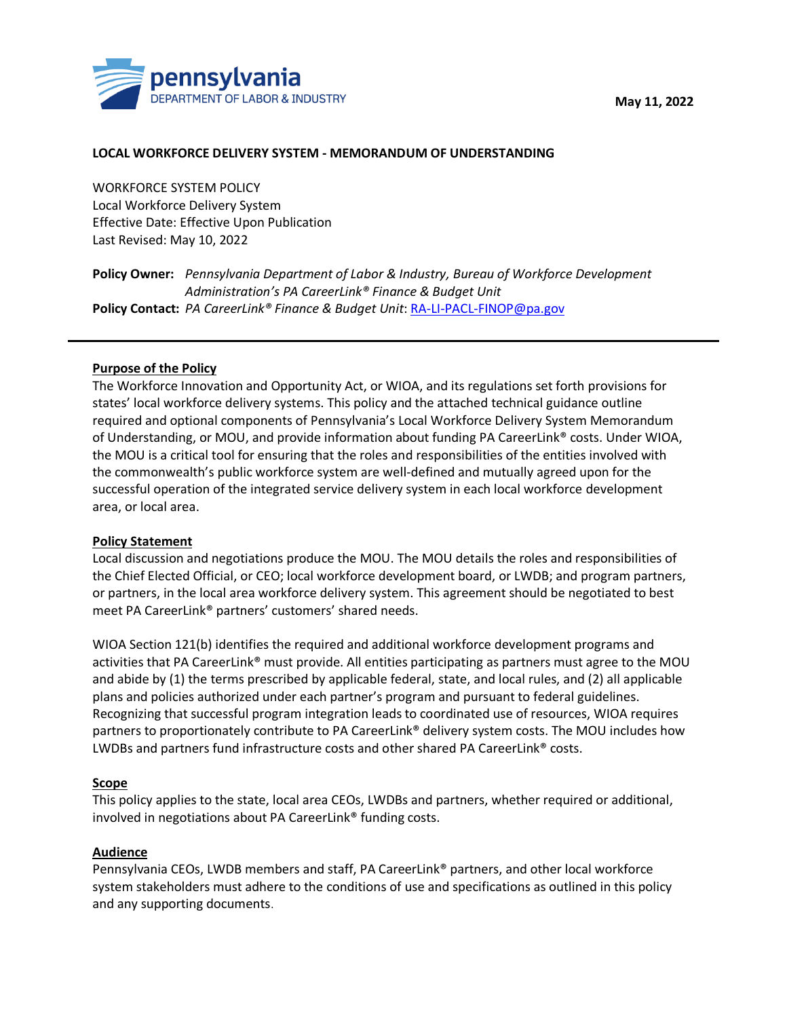



#### **LOCAL WORKFORCE DELIVERY SYSTEM - MEMORANDUM OF UNDERSTANDING**

WORKFORCE SYSTEM POLICY Local Workforce Delivery System Effective Date: Effective Upon Publication Last Revised: May 10, 2022

**Policy Owner:** *Pennsylvania Department of Labor & Industry, Bureau of Workforce Development Administration's PA CareerLink® Finance & Budget Unit* **Policy Contact:** *PA CareerLink® Finance & Budget Unit*[: RA-LI-PACL-FINOP@pa.gov](mailto:RA-LI-PACL-FINOP@pa.gov)

### **Purpose of the Policy**

The Workforce Innovation and Opportunity Act, or WIOA, and its regulations set forth provisions for states' local workforce delivery systems. This policy and the attached technical guidance outline required and optional components of Pennsylvania's Local Workforce Delivery System Memorandum of Understanding, or MOU, and provide information about funding PA CareerLink® costs. Under WIOA, the MOU is a critical tool for ensuring that the roles and responsibilities of the entities involved with the commonwealth's public workforce system are well-defined and mutually agreed upon for the successful operation of the integrated service delivery system in each local workforce development area, or local area.

#### **Policy Statement**

Local discussion and negotiations produce the MOU. The MOU details the roles and responsibilities of the Chief Elected Official, or CEO; local workforce development board, or LWDB; and program partners, or partners, in the local area workforce delivery system. This agreement should be negotiated to best meet PA CareerLink® partners' customers' shared needs.

WIOA Section 121(b) identifies the required and additional workforce development programs and activities that PA CareerLink® must provide. All entities participating as partners must agree to the MOU and abide by (1) the terms prescribed by applicable federal, state, and local rules, and (2) all applicable plans and policies authorized under each partner's program and pursuant to federal guidelines. Recognizing that successful program integration leads to coordinated use of resources, WIOA requires partners to proportionately contribute to PA CareerLink® delivery system costs. The MOU includes how LWDBs and partners fund infrastructure costs and other shared PA CareerLink® costs.

### **Scope**

This policy applies to the state, local area CEOs, LWDBs and partners, whether required or additional, involved in negotiations about PA CareerLink® funding costs.

#### **Audience**

Pennsylvania CEOs, LWDB members and staff, PA CareerLink® partners, and other local workforce system stakeholders must adhere to the conditions of use and specifications as outlined in this policy and any supporting documents.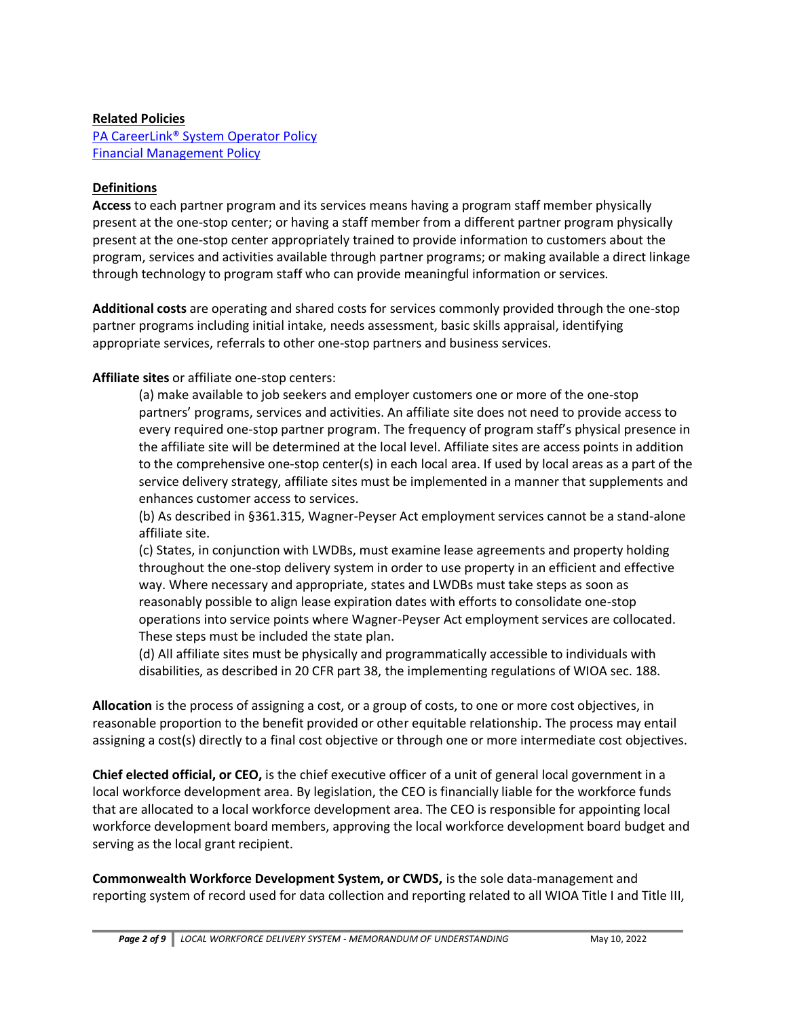### **Related Policies**

[PA CareerLink® System Operator Policy](https://www.dli.pa.gov/Businesses/Workforce-Development/Pages/Pennsylvania) [Financial Management Policy](https://www.dli.pa.gov/Businesses/Workforce-Development/Pages/Pennsylvania)

## **Definitions**

**Access** to each partner program and its services means having a program staff member physically present at the one-stop center; or having a staff member from a different partner program physically present at the one-stop center appropriately trained to provide information to customers about the program, services and activities available through partner programs; or making available a direct linkage through technology to program staff who can provide meaningful information or services.

**Additional costs** are operating and shared costs for services commonly provided through the one-stop partner programs including initial intake, needs assessment, basic skills appraisal, identifying appropriate services, referrals to other one-stop partners and business services.

# **Affiliate sites** or affiliate one-stop centers:

(a) make available to job seekers and employer customers one or more of the one-stop partners' programs, services and activities. An affiliate site does not need to provide access to every required one-stop partner program. The frequency of program staff's physical presence in the affiliate site will be determined at the local level. Affiliate sites are access points in addition to the comprehensive one-stop center(s) in each local area. If used by local areas as a part of the service delivery strategy, affiliate sites must be implemented in a manner that supplements and enhances customer access to services.

(b) As described in §361.315, Wagner-Peyser Act employment services cannot be a stand-alone affiliate site.

(c) States, in conjunction with LWDBs, must examine lease agreements and property holding throughout the one-stop delivery system in order to use property in an efficient and effective way. Where necessary and appropriate, states and LWDBs must take steps as soon as reasonably possible to align lease expiration dates with efforts to consolidate one-stop operations into service points where Wagner-Peyser Act employment services are collocated. These steps must be included the state plan.

(d) All affiliate sites must be physically and programmatically accessible to individuals with disabilities, as described in 20 CFR part 38, the implementing regulations of WIOA sec. 188.

**Allocation** is the process of assigning a cost, or a group of costs, to one or more cost objectives, in reasonable proportion to the benefit provided or other equitable relationship. The process may entail assigning a cost(s) directly to a final cost objective or through one or more intermediate cost objectives.

**Chief elected official, or CEO,** is the chief executive officer of a unit of general local government in a local workforce development area. By legislation, the CEO is financially liable for the workforce funds that are allocated to a local workforce development area. The CEO is responsible for appointing local workforce development board members, approving the local workforce development board budget and serving as the local grant recipient.

**Commonwealth Workforce Development System, or CWDS,** is the sole data-management and reporting system of record used for data collection and reporting related to all WIOA Title I and Title III,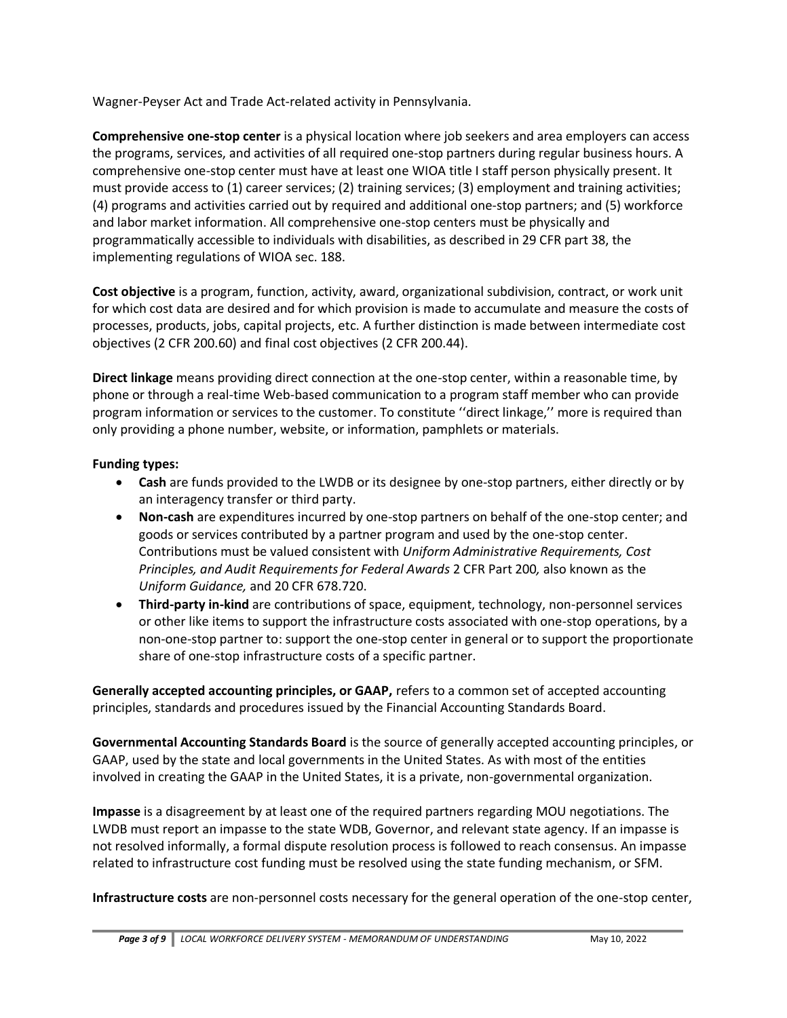Wagner-Peyser Act and Trade Act-related activity in Pennsylvania.

**Comprehensive one-stop center** is a physical location where job seekers and area employers can access the programs, services, and activities of all required one-stop partners during regular business hours. A comprehensive one-stop center must have at least one WIOA title I staff person physically present. It must provide access to (1) career services; (2) training services; (3) employment and training activities; (4) programs and activities carried out by required and additional one-stop partners; and (5) workforce and labor market information. All comprehensive one-stop centers must be physically and programmatically accessible to individuals with disabilities, as described in 29 CFR part 38, the implementing regulations of WIOA sec. 188.

**Cost objective** is a program, function, activity, award, organizational subdivision, contract, or work unit for which cost data are desired and for which provision is made to accumulate and measure the costs of processes, products, jobs, capital projects, etc. A further distinction is made between intermediate cost objectives (2 CFR 200.60) and final cost objectives (2 CFR 200.44).

**Direct linkage** means providing direct connection at the one-stop center, within a reasonable time, by phone or through a real-time Web-based communication to a program staff member who can provide program information or services to the customer. To constitute ''direct linkage,'' more is required than only providing a phone number, website, or information, pamphlets or materials.

# **Funding types:**

- **Cash** are funds provided to the LWDB or its designee by one-stop partners, either directly or by an interagency transfer or third party.
- **Non-cash** are expenditures incurred by one-stop partners on behalf of the one-stop center; and goods or services contributed by a partner program and used by the one-stop center. Contributions must be valued consistent with *Uniform Administrative Requirements, Cost Principles, and Audit Requirements for Federal Awards* 2 CFR Part 200*,* also known as the *Uniform Guidance,* and 20 CFR 678.720.
- **Third-party in-kind** are contributions of space, equipment, technology, non-personnel services or other like items to support the infrastructure costs associated with one-stop operations, by a non-one-stop partner to: support the one-stop center in general or to support the proportionate share of one-stop infrastructure costs of a specific partner.

**Generally accepted accounting principles, or GAAP,** refers to a common set of accepted accounting principles, standards and procedures issued by the Financial Accounting Standards Board.

**Governmental Accounting Standards Board** is the source of generally accepted accounting principles, or GAAP, used by the state and local governments in the United States. As with most of the entities involved in creating the GAAP in the United States, it is a private, non-governmental organization.

**Impasse** is a disagreement by at least one of the required partners regarding MOU negotiations. The LWDB must report an impasse to the state WDB, Governor, and relevant state agency. If an impasse is not resolved informally, a formal dispute resolution process is followed to reach consensus. An impasse related to infrastructure cost funding must be resolved using the state funding mechanism, or SFM.

**Infrastructure costs** are non-personnel costs necessary for the general operation of the one-stop center,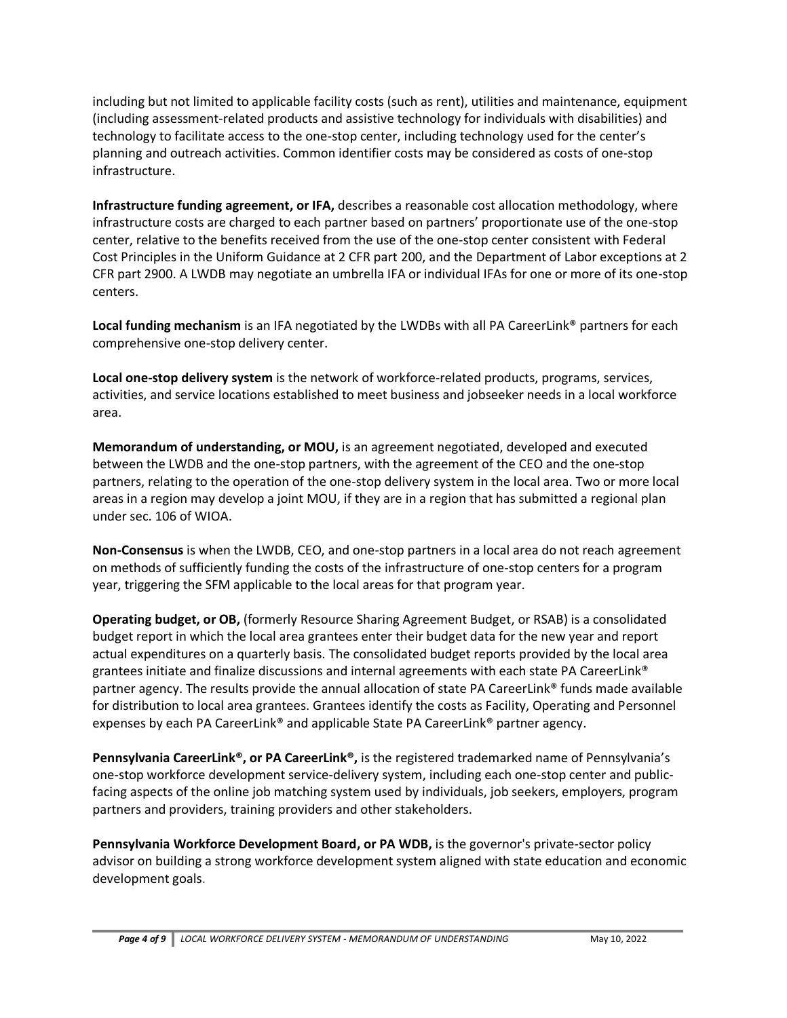including but not limited to applicable facility costs (such as rent), utilities and maintenance, equipment (including assessment-related products and assistive technology for individuals with disabilities) and technology to facilitate access to the one-stop center, including technology used for the center's planning and outreach activities. Common identifier costs may be considered as costs of one-stop infrastructure.

**Infrastructure funding agreement, or IFA,** describes a reasonable cost allocation methodology, where infrastructure costs are charged to each partner based on partners' proportionate use of the one-stop center, relative to the benefits received from the use of the one-stop center consistent with Federal Cost Principles in the Uniform Guidance at 2 CFR part 200, and the Department of Labor exceptions at 2 CFR part 2900. A LWDB may negotiate an umbrella IFA or individual IFAs for one or more of its one-stop centers.

**Local funding mechanism** is an IFA negotiated by the LWDBs with all PA CareerLink® partners for each comprehensive one-stop delivery center.

**Local one-stop delivery system** is the network of workforce-related products, programs, services, activities, and service locations established to meet business and jobseeker needs in a local workforce area.

**Memorandum of understanding, or MOU,** is an agreement negotiated, developed and executed between the LWDB and the one-stop partners, with the agreement of the CEO and the one-stop partners, relating to the operation of the one-stop delivery system in the local area. Two or more local areas in a region may develop a joint MOU, if they are in a region that has submitted a regional plan under sec. 106 of WIOA.

**Non-Consensus** is when the LWDB, CEO, and one-stop partners in a local area do not reach agreement on methods of sufficiently funding the costs of the infrastructure of one-stop centers for a program year, triggering the SFM applicable to the local areas for that program year.

**Operating budget, or OB,** (formerly Resource Sharing Agreement Budget, or RSAB) is a consolidated budget report in which the local area grantees enter their budget data for the new year and report actual expenditures on a quarterly basis. The consolidated budget reports provided by the local area grantees initiate and finalize discussions and internal agreements with each state PA CareerLink® partner agency. The results provide the annual allocation of state PA CareerLink® funds made available for distribution to local area grantees. Grantees identify the costs as Facility, Operating and Personnel expenses by each PA CareerLink® and applicable State PA CareerLink® partner agency.

**Pennsylvania CareerLink®, or PA CareerLink®,** is the registered trademarked name of Pennsylvania's one-stop workforce development service-delivery system, including each one-stop center and publicfacing aspects of the online job matching system used by individuals, job seekers, employers, program partners and providers, training providers and other stakeholders.

**Pennsylvania Workforce Development Board, or PA WDB,** is the governor's private-sector policy advisor on building a strong workforce development system aligned with state education and economic development goals.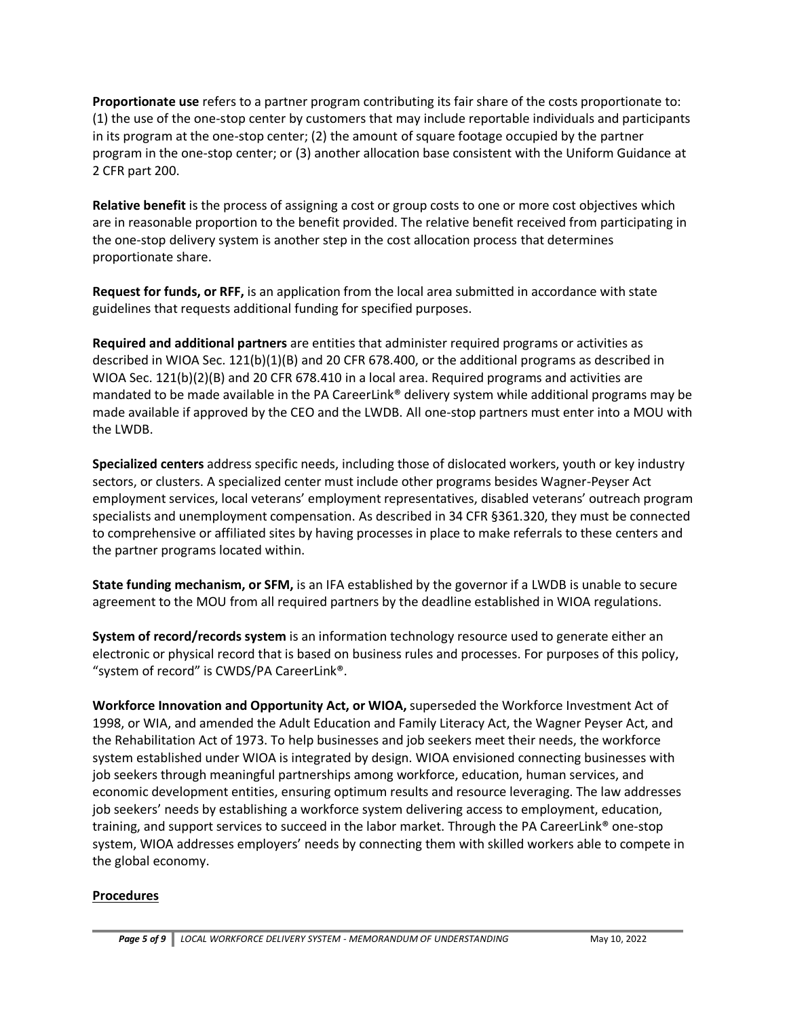**Proportionate use** refers to a partner program contributing its fair share of the costs proportionate to: (1) the use of the one-stop center by customers that may include reportable individuals and participants in its program at the one-stop center; (2) the amount of square footage occupied by the partner program in the one-stop center; or (3) another allocation base consistent with the Uniform Guidance at 2 CFR part 200.

**Relative benefit** is the process of assigning a cost or group costs to one or more cost objectives which are in reasonable proportion to the benefit provided. The relative benefit received from participating in the one-stop delivery system is another step in the cost allocation process that determines proportionate share.

**Request for funds, or RFF,** is an application from the local area submitted in accordance with state guidelines that requests additional funding for specified purposes.

**Required and additional partners** are entities that administer required programs or activities as described in WIOA Sec. 121(b)(1)(B) and 20 CFR 678.400, or the additional programs as described in WIOA Sec. 121(b)(2)(B) and 20 CFR 678.410 in a local area. Required programs and activities are mandated to be made available in the PA CareerLink® delivery system while additional programs may be made available if approved by the CEO and the LWDB. All one-stop partners must enter into a MOU with the LWDB.

**Specialized centers** address specific needs, including those of dislocated workers, youth or key industry sectors, or clusters. A specialized center must include other programs besides Wagner-Peyser Act employment services, local veterans' employment representatives, disabled veterans' outreach program specialists and unemployment compensation. As described in 34 CFR §361.320, they must be connected to comprehensive or affiliated sites by having processes in place to make referrals to these centers and the partner programs located within.

**State funding mechanism, or SFM,** is an IFA established by the governor if a LWDB is unable to secure agreement to the MOU from all required partners by the deadline established in WIOA regulations.

**System of record/records system** is an information technology resource used to generate either an electronic or physical record that is based on business rules and processes. For purposes of this policy, "system of record" is CWDS/PA CareerLink®.

**Workforce Innovation and Opportunity Act, or WIOA,** superseded the Workforce Investment Act of 1998, or WIA, and amended the Adult Education and Family Literacy Act, the Wagner Peyser Act, and the Rehabilitation Act of 1973. To help businesses and job seekers meet their needs, the workforce system established under WIOA is integrated by design. WIOA envisioned connecting businesses with job seekers through meaningful partnerships among workforce, education, human services, and economic development entities, ensuring optimum results and resource leveraging. The law addresses job seekers' needs by establishing a workforce system delivering access to employment, education, training, and support services to succeed in the labor market. Through the PA CareerLink® one-stop system, WIOA addresses employers' needs by connecting them with skilled workers able to compete in the global economy.

# **Procedures**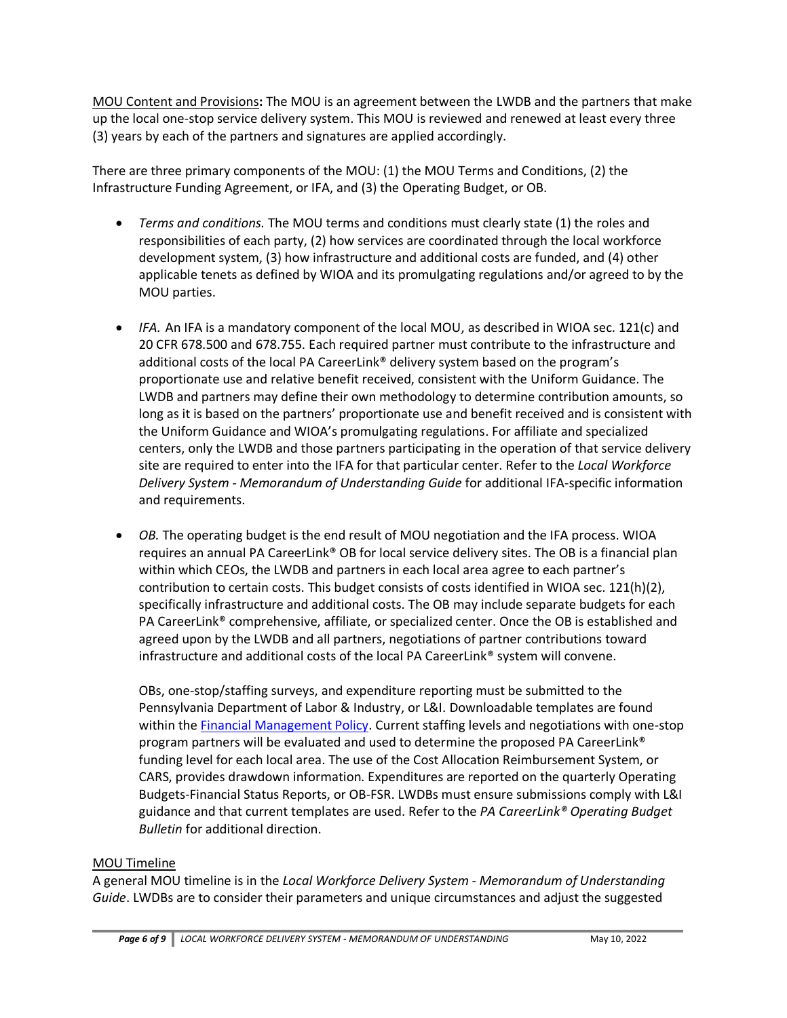MOU Content and Provisions**:** The MOU is an agreement between the LWDB and the partners that make up the local one-stop service delivery system. This MOU is reviewed and renewed at least every three (3) years by each of the partners and signatures are applied accordingly.

There are three primary components of the MOU: (1) the MOU Terms and Conditions, (2) the Infrastructure Funding Agreement, or IFA, and (3) the Operating Budget, or OB.

- *Terms and conditions.* The MOU terms and conditions must clearly state (1) the roles and responsibilities of each party, (2) how services are coordinated through the local workforce development system, (3) how infrastructure and additional costs are funded, and (4) other applicable tenets as defined by WIOA and its promulgating regulations and/or agreed to by the MOU parties.
- *IFA.* An IFA is a mandatory component of the local MOU, as described in WIOA sec. 121(c) and 20 CFR 678.500 and 678.755. Each required partner must contribute to the infrastructure and additional costs of the local PA CareerLink® delivery system based on the program's proportionate use and relative benefit received, consistent with the Uniform Guidance. The LWDB and partners may define their own methodology to determine contribution amounts, so long as it is based on the partners' proportionate use and benefit received and is consistent with the Uniform Guidance and WIOA's promulgating regulations. For affiliate and specialized centers, only the LWDB and those partners participating in the operation of that service delivery site are required to enter into the IFA for that particular center. Refer to the *Local Workforce Delivery System - Memorandum of Understanding Guide* for additional IFA-specific information and requirements.
- *OB.* The operating budget is the end result of MOU negotiation and the IFA process. WIOA requires an annual PA CareerLink® OB for local service delivery sites. The OB is a financial plan within which CEOs, the LWDB and partners in each local area agree to each partner's contribution to certain costs. This budget consists of costs identified in WIOA sec. 121(h)(2), specifically infrastructure and additional costs. The OB may include separate budgets for each PA CareerLink® comprehensive, affiliate, or specialized center. Once the OB is established and agreed upon by the LWDB and all partners, negotiations of partner contributions toward infrastructure and additional costs of the local PA CareerLink® system will convene.

OBs, one-stop/staffing surveys, and expenditure reporting must be submitted to the Pennsylvania Department of Labor & Industry, or L&I. Downloadable templates are found within the [Financial Management Policy.](https://www.dli.pa.gov/Businesses/Workforce-Development/Pages/Pennsylvania) Current staffing levels and negotiations with one-stop program partners will be evaluated and used to determine the proposed PA CareerLink® funding level for each local area. The use of the Cost Allocation Reimbursement System, or CARS, provides drawdown information. Expenditures are reported on the quarterly Operating Budgets-Financial Status Reports, or OB-FSR. LWDBs must ensure submissions comply with L&I guidance and that current templates are used. Refer to the *PA CareerLink® Operating Budget Bulletin* for additional direction.

# MOU Timeline

A general MOU timeline is in the *Local Workforce Delivery System - Memorandum of Understanding Guide*. LWDBs are to consider their parameters and unique circumstances and adjust the suggested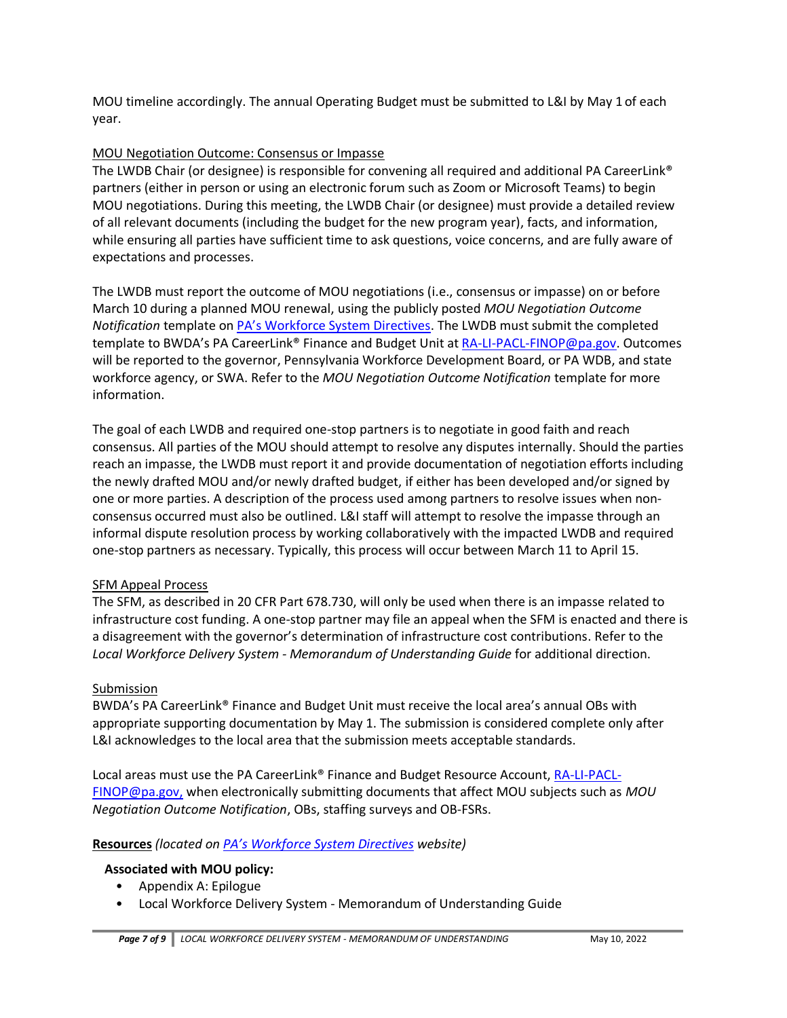MOU timeline accordingly. The annual Operating Budget must be submitted to L&I by May 1 of each year.

# MOU Negotiation Outcome: Consensus or Impasse

The LWDB Chair (or designee) is responsible for convening all required and additional PA CareerLink® partners (either in person or using an electronic forum such as Zoom or Microsoft Teams) to begin MOU negotiations. During this meeting, the LWDB Chair (or designee) must provide a detailed review of all relevant documents (including the budget for the new program year), facts, and information, while ensuring all parties have sufficient time to ask questions, voice concerns, and are fully aware of expectations and processes.

The LWDB must report the outcome of MOU negotiations (i.e., consensus or impasse) on or before March 10 during a planned MOU renewal, using the publicly posted *MOU Negotiation Outcome Notification* template on [PA's Workforce System Directives](https://www.dli.pa.gov/Businesses/Workforce-Development/Pages/Pennsylvania). The LWDB must submit the completed template to BWDA's PA CareerLink® Finance and Budget Unit a[t RA-LI-PACL-FINOP@pa.gov.](mailto:RA-LI-PACL-FINOP@pa.gov) Outcomes will be reported to the governor, Pennsylvania Workforce Development Board, or PA WDB, and state workforce agency, or SWA. Refer to the *MOU Negotiation Outcome Notification* template for more information.

The goal of each LWDB and required one-stop partners is to negotiate in good faith and reach consensus. All parties of the MOU should attempt to resolve any disputes internally. Should the parties reach an impasse, the LWDB must report it and provide documentation of negotiation efforts including the newly drafted MOU and/or newly drafted budget, if either has been developed and/or signed by one or more parties. A description of the process used among partners to resolve issues when nonconsensus occurred must also be outlined. L&I staff will attempt to resolve the impasse through an informal dispute resolution process by working collaboratively with the impacted LWDB and required one-stop partners as necessary. Typically, this process will occur between March 11 to April 15.

# SFM Appeal Process

The SFM, as described in 20 CFR Part 678.730, will only be used when there is an impasse related to infrastructure cost funding. A one-stop partner may file an appeal when the SFM is enacted and there is a disagreement with the governor's determination of infrastructure cost contributions. Refer to the *Local Workforce Delivery System - Memorandum of Understanding Guide* for additional direction.

# Submission

BWDA's PA CareerLink® Finance and Budget Unit must receive the local area's annual OBs with appropriate supporting documentation by May 1. The submission is considered complete only after L&I acknowledges to the local area that the submission meets acceptable standards.

Local areas must use the PA CareerLink® Finance and Budget Resource Account, [RA-LI-PACL-](mailto:RA-LI-PACL-FINOP@pa.gov)[FINOP@pa.gov,](mailto:RA-LI-PACL-FINOP@pa.gov) when electronically submitting documents that affect MOU subjects such as *MOU Negotiation Outcome Notification*, OBs, staffing surveys and OB-FSRs.

# **Resources** *(located on [PA's Workforce System Directives](https://www.dli.pa.gov/Businesses/Workforce-Development/Pages/Pennsylvania) website)*

# **Associated with MOU policy:**

- Appendix A: Epilogue
- Local Workforce Delivery System Memorandum of Understanding Guide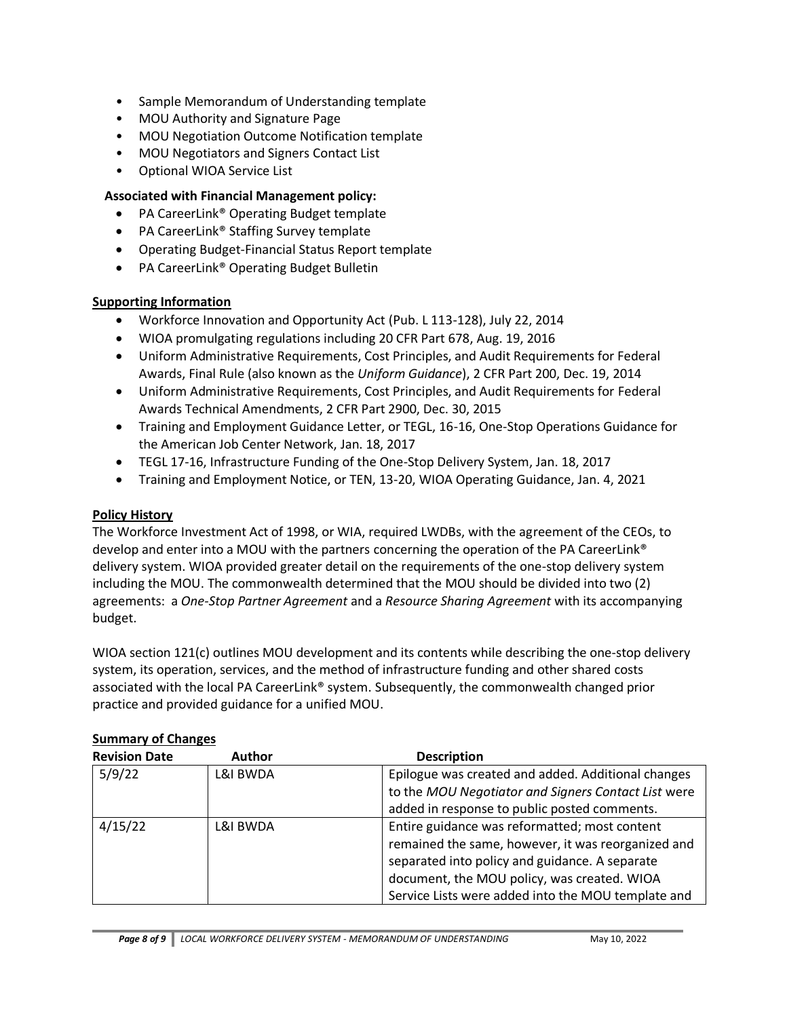- Sample Memorandum of Understanding template
- MOU Authority and Signature Page
- MOU Negotiation Outcome Notification template
- MOU Negotiators and Signers Contact List
- Optional WIOA Service List

# **Associated with Financial Management policy:**

- PA CareerLink® Operating Budget template
- PA CareerLink® Staffing Survey template
- Operating Budget-Financial Status Report template
- PA CareerLink® Operating Budget Bulletin

## **Supporting Information**

- Workforce Innovation and Opportunity Act (Pub. L 113-128), July 22, 2014
- WIOA promulgating regulations including 20 CFR Part 678, Aug. 19, 2016
- Uniform Administrative Requirements, Cost Principles, and Audit Requirements for Federal Awards, Final Rule (also known as the *Uniform Guidance*), 2 CFR Part 200, Dec. 19, 2014
- Uniform Administrative Requirements, Cost Principles, and Audit Requirements for Federal Awards Technical Amendments, 2 CFR Part 2900, Dec. 30, 2015
- Training and Employment Guidance Letter, or TEGL, 16-16, One-Stop Operations Guidance for the American Job Center Network, Jan. 18, 2017
- TEGL 17-16, Infrastructure Funding of the One-Stop Delivery System, Jan. 18, 2017
- Training and Employment Notice, or TEN, 13-20, WIOA Operating Guidance, Jan. 4, 2021

# **Policy History**

The Workforce Investment Act of 1998, or WIA, required LWDBs, with the agreement of the CEOs, to develop and enter into a MOU with the partners concerning the operation of the PA CareerLink® delivery system. WIOA provided greater detail on the requirements of the one-stop delivery system including the MOU. The commonwealth determined that the MOU should be divided into two (2) agreements: a *One-Stop Partner Agreement* and a *Resource Sharing Agreement* with its accompanying budget.

WIOA section 121(c) outlines MOU development and its contents while describing the one-stop delivery system, its operation, services, and the method of infrastructure funding and other shared costs associated with the local PA CareerLink® system. Subsequently, the commonwealth changed prior practice and provided guidance for a unified MOU.

| <b>Revision Date</b> | <b>Author</b> | <b>Description</b>                                  |
|----------------------|---------------|-----------------------------------------------------|
| 5/9/22               | L&I BWDA      | Epilogue was created and added. Additional changes  |
|                      |               | to the MOU Negotiator and Signers Contact List were |
|                      |               | added in response to public posted comments.        |
| 4/15/22              | L&I BWDA      | Entire guidance was reformatted; most content       |
|                      |               | remained the same, however, it was reorganized and  |
|                      |               | separated into policy and guidance. A separate      |
|                      |               | document, the MOU policy, was created. WIOA         |
|                      |               | Service Lists were added into the MOU template and  |

# **Summary of Changes**